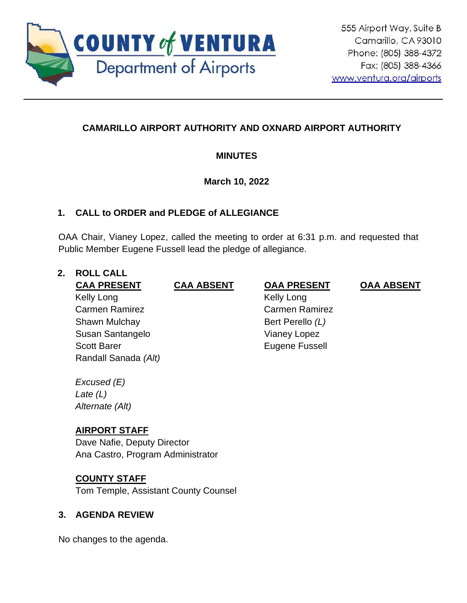

## **CAMARILLO AIRPORT AUTHORITY AND OXNARD AIRPORT AUTHORITY**

## **MINUTES**

## **March 10, 2022**

## **1. CALL to ORDER and PLEDGE of ALLEGIANCE**

OAA Chair, Vianey Lopez, called the meeting to order at 6:31 p.m. and requested that Public Member Eugene Fussell lead the pledge of allegiance.

# **2. ROLL CALL**

Kelly Long Carmen Ramirez Shawn Mulchay Susan Santangelo Scott Barer

Randall Sanada *(Alt)*

## **CAA PRESENT CAA ABSENT OAA PRESENT OAA ABSENT**

 Kelly Long Carmen Ramirez Bert Perello *(L)* Vianey Lopez Eugene Fussell

*Excused (E) Late (L) Alternate (Alt)*

## **AIRPORT STAFF**

Dave Nafie, Deputy Director Ana Castro, Program Administrator

## **COUNTY STAFF**

Tom Temple, Assistant County Counsel

## **3. AGENDA REVIEW**

No changes to the agenda.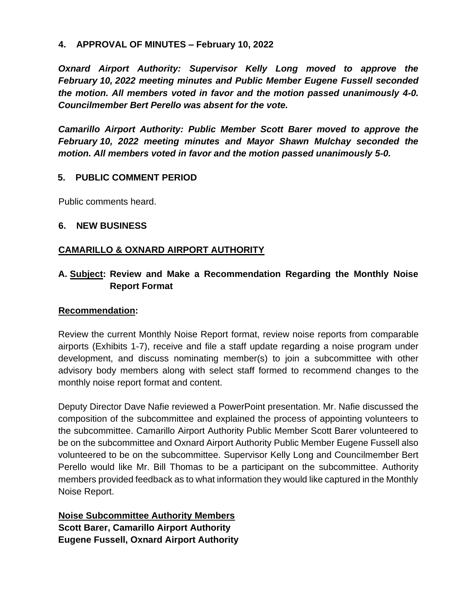### **4. APPROVAL OF MINUTES – February 10, 2022**

*Oxnard Airport Authority: Supervisor Kelly Long moved to approve the February 10, 2022 meeting minutes and Public Member Eugene Fussell seconded the motion. All members voted in favor and the motion passed unanimously 4-0. Councilmember Bert Perello was absent for the vote.* 

*Camarillo Airport Authority: Public Member Scott Barer moved to approve the February 10, 2022 meeting minutes and Mayor Shawn Mulchay seconded the motion. All members voted in favor and the motion passed unanimously 5-0.* 

### **5. PUBLIC COMMENT PERIOD**

Public comments heard.

### **6. NEW BUSINESS**

## **CAMARILLO & OXNARD AIRPORT AUTHORITY**

## **A. Subject: Review and Make a Recommendation Regarding the Monthly Noise Report Format**

#### **Recommendation:**

Review the current Monthly Noise Report format, review noise reports from comparable airports (Exhibits 1-7), receive and file a staff update regarding a noise program under development, and discuss nominating member(s) to join a subcommittee with other advisory body members along with select staff formed to recommend changes to the monthly noise report format and content.

Deputy Director Dave Nafie reviewed a PowerPoint presentation. Mr. Nafie discussed the composition of the subcommittee and explained the process of appointing volunteers to the subcommittee. Camarillo Airport Authority Public Member Scott Barer volunteered to be on the subcommittee and Oxnard Airport Authority Public Member Eugene Fussell also volunteered to be on the subcommittee. Supervisor Kelly Long and Councilmember Bert Perello would like Mr. Bill Thomas to be a participant on the subcommittee. Authority members provided feedback as to what information they would like captured in the Monthly Noise Report.

**Noise Subcommittee Authority Members Scott Barer, Camarillo Airport Authority Eugene Fussell, Oxnard Airport Authority**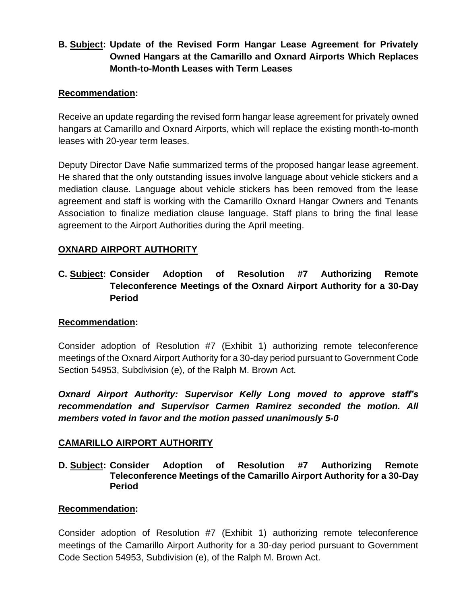## **B. Subject: Update of the Revised Form Hangar Lease Agreement for Privately Owned Hangars at the Camarillo and Oxnard Airports Which Replaces Month-to-Month Leases with Term Leases**

### **Recommendation:**

Receive an update regarding the revised form hangar lease agreement for privately owned hangars at Camarillo and Oxnard Airports, which will replace the existing month-to-month leases with 20-year term leases.

Deputy Director Dave Nafie summarized terms of the proposed hangar lease agreement. He shared that the only outstanding issues involve language about vehicle stickers and a mediation clause. Language about vehicle stickers has been removed from the lease agreement and staff is working with the Camarillo Oxnard Hangar Owners and Tenants Association to finalize mediation clause language. Staff plans to bring the final lease agreement to the Airport Authorities during the April meeting.

## **OXNARD AIRPORT AUTHORITY**

## **C. Subject: Consider Adoption of Resolution #7 Authorizing Remote Teleconference Meetings of the Oxnard Airport Authority for a 30-Day Period**

#### **Recommendation:**

Consider adoption of Resolution #7 (Exhibit 1) authorizing remote teleconference meetings of the Oxnard Airport Authority for a 30-day period pursuant to Government Code Section 54953, Subdivision (e), of the Ralph M. Brown Act.

*Oxnard Airport Authority: Supervisor Kelly Long moved to approve staff's recommendation and Supervisor Carmen Ramirez seconded the motion. All members voted in favor and the motion passed unanimously 5-0*

## **CAMARILLO AIRPORT AUTHORITY**

**D. Subject: Consider Adoption of Resolution #7 Authorizing Remote Teleconference Meetings of the Camarillo Airport Authority for a 30-Day Period**

#### **Recommendation:**

Consider adoption of Resolution #7 (Exhibit 1) authorizing remote teleconference meetings of the Camarillo Airport Authority for a 30-day period pursuant to Government Code Section 54953, Subdivision (e), of the Ralph M. Brown Act.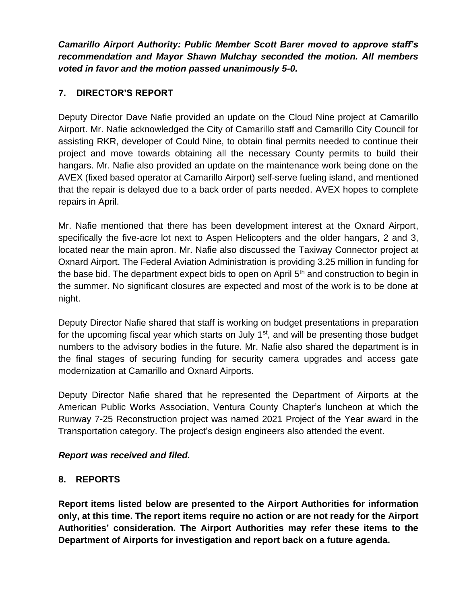*Camarillo Airport Authority: Public Member Scott Barer moved to approve staff's recommendation and Mayor Shawn Mulchay seconded the motion. All members voted in favor and the motion passed unanimously 5-0.*

## **7. DIRECTOR'S REPORT**

Deputy Director Dave Nafie provided an update on the Cloud Nine project at Camarillo Airport. Mr. Nafie acknowledged the City of Camarillo staff and Camarillo City Council for assisting RKR, developer of Could Nine, to obtain final permits needed to continue their project and move towards obtaining all the necessary County permits to build their hangars. Mr. Nafie also provided an update on the maintenance work being done on the AVEX (fixed based operator at Camarillo Airport) self-serve fueling island, and mentioned that the repair is delayed due to a back order of parts needed. AVEX hopes to complete repairs in April.

Mr. Nafie mentioned that there has been development interest at the Oxnard Airport, specifically the five-acre lot next to Aspen Helicopters and the older hangars, 2 and 3, located near the main apron. Mr. Nafie also discussed the Taxiway Connector project at Oxnard Airport. The Federal Aviation Administration is providing 3.25 million in funding for the base bid. The department expect bids to open on April  $5<sup>th</sup>$  and construction to begin in the summer. No significant closures are expected and most of the work is to be done at night.

Deputy Director Nafie shared that staff is working on budget presentations in preparation for the upcoming fiscal year which starts on July 1<sup>st</sup>, and will be presenting those budget numbers to the advisory bodies in the future. Mr. Nafie also shared the department is in the final stages of securing funding for security camera upgrades and access gate modernization at Camarillo and Oxnard Airports.

Deputy Director Nafie shared that he represented the Department of Airports at the American Public Works Association, Ventura County Chapter's luncheon at which the Runway 7-25 Reconstruction project was named 2021 Project of the Year award in the Transportation category. The project's design engineers also attended the event.

## *Report was received and filed.*

## **8. REPORTS**

**Report items listed below are presented to the Airport Authorities for information only, at this time. The report items require no action or are not ready for the Airport Authorities' consideration. The Airport Authorities may refer these items to the Department of Airports for investigation and report back on a future agenda.**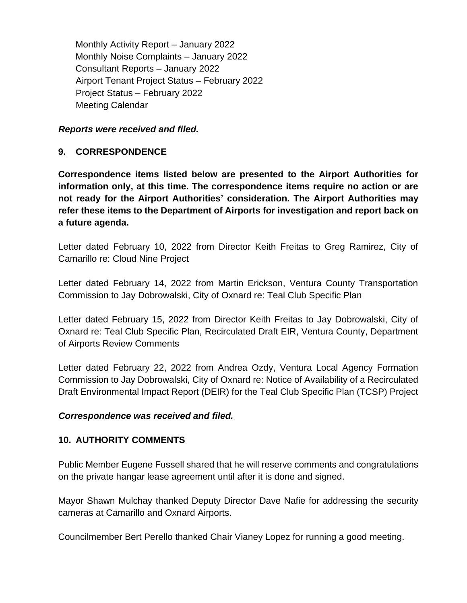Monthly Activity Report – January 2022 Monthly Noise Complaints – January 2022 Consultant Reports – January 2022 Airport Tenant Project Status – February 2022 Project Status – February 2022 Meeting Calendar

*Reports were received and filed.*

#### **9. CORRESPONDENCE**

**Correspondence items listed below are presented to the Airport Authorities for information only, at this time. The correspondence items require no action or are not ready for the Airport Authorities' consideration. The Airport Authorities may refer these items to the Department of Airports for investigation and report back on a future agenda.** 

Letter dated February 10, 2022 from Director Keith Freitas to Greg Ramirez, City of Camarillo re: Cloud Nine Project

Letter dated February 14, 2022 from Martin Erickson, Ventura County Transportation Commission to Jay Dobrowalski, City of Oxnard re: Teal Club Specific Plan

Letter dated February 15, 2022 from Director Keith Freitas to Jay Dobrowalski, City of Oxnard re: Teal Club Specific Plan, Recirculated Draft EIR, Ventura County, Department of Airports Review Comments

Letter dated February 22, 2022 from Andrea Ozdy, Ventura Local Agency Formation Commission to Jay Dobrowalski, City of Oxnard re: Notice of Availability of a Recirculated Draft Environmental Impact Report (DEIR) for the Teal Club Specific Plan (TCSP) Project

#### *Correspondence was received and filed.*

#### **10. AUTHORITY COMMENTS**

Public Member Eugene Fussell shared that he will reserve comments and congratulations on the private hangar lease agreement until after it is done and signed.

Mayor Shawn Mulchay thanked Deputy Director Dave Nafie for addressing the security cameras at Camarillo and Oxnard Airports.

Councilmember Bert Perello thanked Chair Vianey Lopez for running a good meeting.